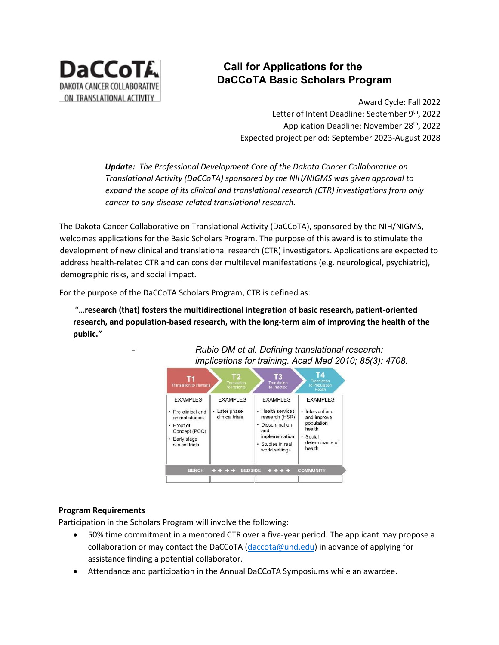

# **Call for Applications for the DaCCoTA Basic Scholars Program**

Award Cycle: Fall 2022 Letter of Intent Deadline: September 9<sup>th</sup>, 2022 Application Deadline: November 28<sup>th</sup>, 2022 Expected project period: September 2023-August 2028

*Update: The Professional Development Core of the Dakota Cancer Collaborative on Translational Activity (DaCCoTA) sponsored by the NIH/NIGMS was given approval to expand the scope of its clinical and translational research (CTR) investigations from only cancer to any disease-related translational research.*

The Dakota Cancer Collaborative on Translational Activity (DaCCoTA), sponsored by the NIH/NIGMS, welcomes applications for the Basic Scholars Program. The purpose of this award is to stimulate the development of new clinical and translational research (CTR) investigators. Applications are expected to address health-related CTR and can consider multilevel manifestations (e.g. neurological, psychiatric), demographic risks, and social impact.

For the purpose of the DaCCoTA Scholars Program, CTR is defined as:

"…**research (that) fosters the multidirectional integration of basic research, patient-oriented research, and population-based research, with the long-term aim of improving the health of the public."** 

> - *Rubio DM et al. Defining translational research: implications for training. Acad Med 2010; 85(3): 4708.*

| <b>Translation to Humans</b>                                                                             | Т2<br>Franslation<br>to Patients | Translation<br>to Practice                                                                                                   | 174<br>Translation<br>to Population<br><b>Health</b>                                            |
|----------------------------------------------------------------------------------------------------------|----------------------------------|------------------------------------------------------------------------------------------------------------------------------|-------------------------------------------------------------------------------------------------|
| <b>EXAMPLES</b>                                                                                          | <b>EXAMPLES</b>                  | <b>EXAMPLES</b>                                                                                                              | <b>EXAMPLES</b>                                                                                 |
| • Pre-clinical and<br>animal studies<br>• Proof of<br>Concept (POC)<br>• Early stage<br>clinical trials. | • Later phase<br>clinical trials | Health services<br>٠<br>research (HSR)<br><b>Dissemination</b><br>and<br>implementation<br>Studies in real<br>world settings | · Interventions<br>and improve<br>population<br>health<br>· Social<br>determinants of<br>health |
| <b>BENCH</b>                                                                                             | <b>BEDSIDE</b><br>ララ ララ          | <b>ナナナナ</b>                                                                                                                  | <b>COMMUNITY</b>                                                                                |

## **Program Requirements**

Participation in the Scholars Program will involve the following:

- 50% time commitment in a mentored CTR over a five-year period. The applicant may propose a collaboration or may contact the DaCCoTA (daccota@und.edu) in advance of applying for assistance finding a potential collaborator.
- Attendance and participation in the Annual DaCCoTA Symposiums while an awardee.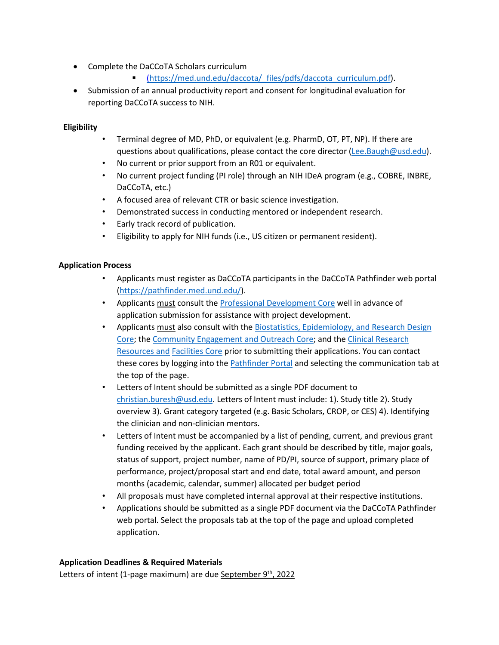- Complete the DaCCoTA Scholars curriculum
	- [\(https://med.und.edu/daccota/\\_files/pdfs/daccota\\_curriculum.pdf\).](https://med.und.edu/daccota/_files/pdfs/daccota_curriculum.pdf)
- Submission of an annual productivity report and consent for longitudinal evaluation for reporting DaCCoTA success to NIH.

#### **Eligibility**

- Terminal degree of MD, PhD, or equivalent (e.g. PharmD, OT, PT, NP). If there are questions about qualifications, please contact the core director [\(Lee.Baugh@usd.edu\)](mailto:Lee.Baugh@usd.edu).
- No current or prior support from an R01 or equivalent.
- No current project funding (PI role) through an NIH IDeA program (e.g., COBRE, INBRE, DaCCoTA, etc.)
- A focused area of relevant CTR or basic science investigation.
- Demonstrated success in conducting mentored or independent research.
- Early track record of publication.
- Eligibility to apply for NIH funds (i.e., US citizen or permanent resident).

### **Application Process**

- Applicants must register as DaCCoTA participants in the DaCCoTA Pathfinder web portal [\(https://pathfinder.med.und.edu/\).](https://pathfinder.med.und.edu/)
- Applicants must consult the [Professional Development Core](https://med.und.edu/daccota/professional-development-core.html) [wel](https://med.und.edu/daccota/professional-development-core.html)l in advance of application submission for assistance with project development.
- Applicants must also consult with th[e Biostatistics, Epidemiology, and Research Design](https://med.und.edu/daccota/biostatistics-epidemiology-research-design-core.html)  [Core; th](https://med.und.edu/daccota/biostatistics-epidemiology-research-design-core.html)e [Community Engagement and Outreach Core; an](https://med.und.edu/daccota/community-engagement-outreach-core.html)d the [Clinical Research](https://med.und.edu/daccota/clinical-research-resources-facilities-core.html)  [Resources and](https://med.und.edu/daccota/clinical-research-resources-facilities-core.html) [Facilities Core](https://med.und.edu/daccota/clinical-research-resources-facilities-core.html) [pri](https://med.und.edu/daccota/clinical-research-resources-facilities-core.html)or to submitting their applications. You can contact these cores by logging into th[e Pathfinder Portal](https://pathfinder.med.und.edu/) [and](https://pathfinder.med.und.edu/) selecting the communication tab at the top of the page.
- Letters of Intent should be submitted as a single PDF document to [christian.buresh@usd.edu.](mailto:christian.buresh@usd.edu) Letters of Intent must include: 1). Study title 2). Study overview 3). Grant category targeted (e.g. Basic Scholars, CROP, or CES) 4). Identifying the clinician and non-clinician mentors.
- Letters of Intent must be accompanied by a list of pending, current, and previous grant funding received by the applicant. Each grant should be described by title, major goals, status of support, project number, name of PD/PI, source of support, primary place of performance, project/proposal start and end date, total award amount, and person months (academic, calendar, summer) allocated per budget period
- All proposals must have completed internal approval at their respective institutions.
- Applications should be submitted as a single PDF document via the DaCCoTA Pathfinder web portal. Select the proposals tab at the top of the page and upload completed application.

#### **Application Deadlines & Required Materials**

Letters of intent (1-page maximum) are due September  $9<sup>th</sup>$ , 2022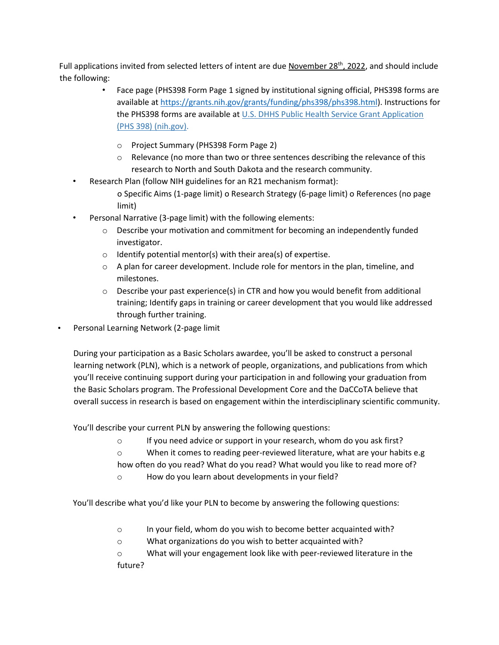Full applications invited from selected letters of intent are due November 28<sup>th</sup>, 2022, and should include the following:

- Face page (PHS398 Form Page 1 signed by institutional signing official, PHS398 forms are available at [https://grants.nih.gov/grants/funding/phs398/phs398.html\).](https://grants.nih.gov/grants/funding/phs398/phs398.html) Instructions for the PHS398 forms are available a[t U.S. DHHS Public Health Service Grant Application](https://grants.nih.gov/grants/funding/phs398/phs398.pdf)  [\(PHS 398\) \(nih.gov\).](https://grants.nih.gov/grants/funding/phs398/phs398.pdf)
	- o Project Summary (PHS398 Form Page 2)
	- o Relevance (no more than two or three sentences describing the relevance of this research to North and South Dakota and the research community.
- Research Plan (follow NIH guidelines for an R21 mechanism format):

o Specific Aims (1-page limit) o Research Strategy (6-page limit) o References (no page limit)

- Personal Narrative (3-page limit) with the following elements:
	- o Describe your motivation and commitment for becoming an independently funded investigator.
	- o Identify potential mentor(s) with their area(s) of expertise.
	- $\circ$  A plan for career development. Include role for mentors in the plan, timeline, and milestones.
	- $\circ$  Describe your past experience(s) in CTR and how you would benefit from additional training; Identify gaps in training or career development that you would like addressed through further training.
- Personal Learning Network (2-page limit

During your participation as a Basic Scholars awardee, you'll be asked to construct a personal learning network (PLN), which is a network of people, organizations, and publications from which you'll receive continuing support during your participation in and following your graduation from the Basic Scholars program. The Professional Development Core and the DaCCoTA believe that overall success in research is based on engagement within the interdisciplinary scientific community.

You'll describe your current PLN by answering the following questions:

- o If you need advice or support in your research, whom do you ask first?
- o When it comes to reading peer-reviewed literature, what are your habits e.g

how often do you read? What do you read? What would you like to read more of?

o How do you learn about developments in your field?

You'll describe what you'd like your PLN to become by answering the following questions:

- o In your field, whom do you wish to become better acquainted with?
- o What organizations do you wish to better acquainted with?

o What will your engagement look like with peer-reviewed literature in the future?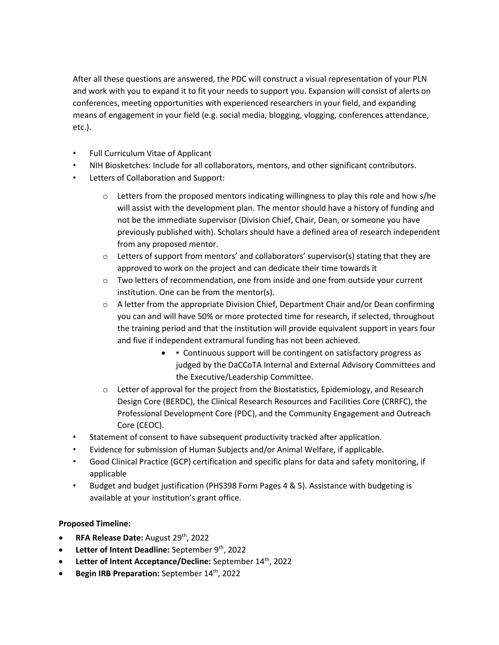After all these questions are answered, the PDC will construct a visual representation of your PLN and work with you to expand it to fit your needs to support you. Expansion will consist of alerts on conferences, meeting opportunities with experienced researchers in your field, and expanding means of engagement in your field (e.g. social media, blogging, vlogging, conferences attendance, etc.).

- Full Curriculum Vitae of Applicant
- NIH Biosketches: Include for all collaborators, mentors, and other significant contributors.
- Letters of Collaboration and Support:
	- $\circ$  Letters from the proposed mentors indicating willingness to play this role and how s/he will assist with the development plan. The mentor should have a history of funding and not be the immediate supervisor (Division Chief, Chair, Dean, or someone you have previously published with). Scholars should have a defined area of research independent from any proposed mentor.
	- $\circ$  Letters of support from mentors' and collaborators' supervisor(s) stating that they are approved to work on the project and can dedicate their time towards it
	- $\circ$  Two letters of recommendation, one from inside and one from outside your current institution. One can be from the mentor(s).
	- $\circ$  A letter from the appropriate Division Chief, Department Chair and/or Dean confirming you can and will have 50% or more protected time for research, if selected, throughout the training period and that the institution will provide equivalent support in years four and five if independent extramural funding has not been achieved.
		- • Continuous support will be contingent on satisfactory progress as judged by the DaCCoTA Internal and External Advisory Committees and the Executive/Leadership Committee.
	- $\circ$  Letter of approval for the project from the Biostatistics, Epidemiology, and Research Design Core (BERDC), the Clinical Research Resources and Facilities Core (CRRFC), the Professional Development Core (PDC), and the Community Engagement and Outreach Core (CEOC).
- Statement of consent to have subsequent productivity tracked after application.
- Evidence for submission of Human Subjects and/or Animal Welfare, if applicable.
- Good Clinical Practice (GCP) certification and specific plans for data and safety monitoring, if applicable
- Budget and budget justification (PHS398 Form Pages 4 & 5). Assistance with budgeting is available at your institution's grant office.

## **Proposed Timeline:**

- **RFA Release Date:** August 29th, 2022
- Letter of Intent Deadline: September 9<sup>th</sup>, 2022
- Letter of Intent Acceptance/Decline: September 14<sup>th</sup>, 2022
- **Begin IRB Preparation:** September 14th, 2022